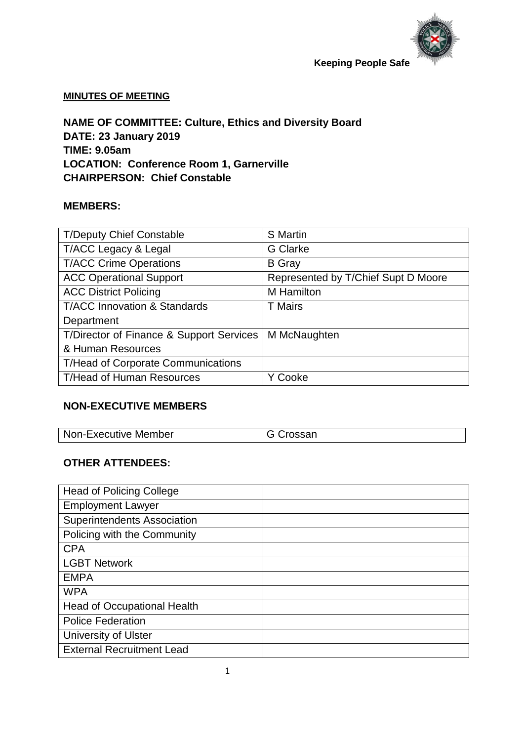

#### **MINUTES OF MEETING**

**NAME OF COMMITTEE: Culture, Ethics and Diversity Board DATE: 23 January 2019 TIME: 9.05am LOCATION: Conference Room 1, Garnerville CHAIRPERSON: Chief Constable**

#### **MEMBERS:**

| <b>T/Deputy Chief Constable</b>           | <b>S</b> Martin                     |
|-------------------------------------------|-------------------------------------|
| T/ACC Legacy & Legal                      | <b>G</b> Clarke                     |
| <b>T/ACC Crime Operations</b>             | <b>B</b> Gray                       |
| <b>ACC Operational Support</b>            | Represented by T/Chief Supt D Moore |
| <b>ACC District Policing</b>              | <b>M</b> Hamilton                   |
| <b>T/ACC Innovation &amp; Standards</b>   | <b>T</b> Mairs                      |
| Department                                |                                     |
| T/Director of Finance & Support Services  | M McNaughten                        |
| & Human Resources                         |                                     |
| <b>T/Head of Corporate Communications</b> |                                     |
| T/Head of Human Resources                 | Cooke                               |

#### **NON-EXECUTIVE MEMBERS**

| Non-Executive Member | <sup>I</sup> G Crossan |
|----------------------|------------------------|

#### **OTHER ATTENDEES:**

| <b>Head of Policing College</b>    |  |
|------------------------------------|--|
| <b>Employment Lawyer</b>           |  |
| <b>Superintendents Association</b> |  |
| Policing with the Community        |  |
| <b>CPA</b>                         |  |
| <b>LGBT Network</b>                |  |
| <b>EMPA</b>                        |  |
| <b>WPA</b>                         |  |
| Head of Occupational Health        |  |
| <b>Police Federation</b>           |  |
| University of Ulster               |  |
| <b>External Recruitment Lead</b>   |  |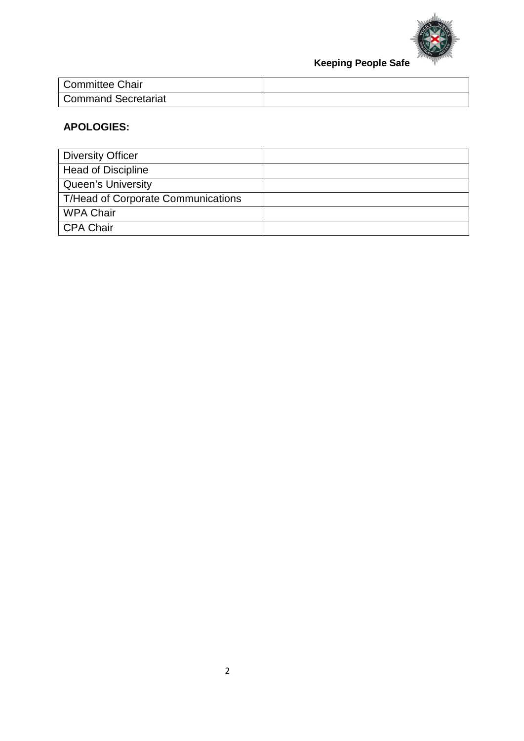

| <b>Committee Chair</b>     |  |
|----------------------------|--|
| <b>Command Secretariat</b> |  |

## **APOLOGIES:**

| <b>Diversity Officer</b>                  |  |
|-------------------------------------------|--|
| <b>Head of Discipline</b>                 |  |
| <b>Queen's University</b>                 |  |
| <b>T/Head of Corporate Communications</b> |  |
| <b>WPA Chair</b>                          |  |
| <b>CPA Chair</b>                          |  |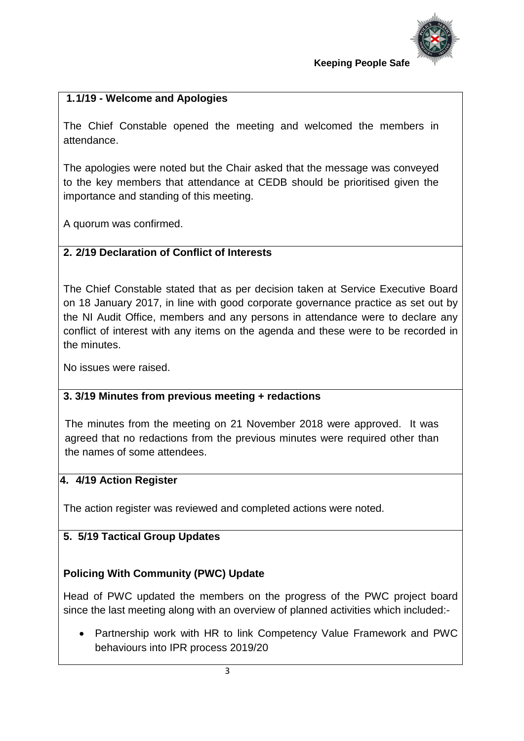

## **1.1/19 - Welcome and Apologies**

The Chief Constable opened the meeting and welcomed the members in attendance.

The apologies were noted but the Chair asked that the message was conveyed to the key members that attendance at CEDB should be prioritised given the importance and standing of this meeting.

A quorum was confirmed.

## **2. 2/19 Declaration of Conflict of Interests**

The Chief Constable stated that as per decision taken at Service Executive Board on 18 January 2017, in line with good corporate governance practice as set out by the NI Audit Office, members and any persons in attendance were to declare any conflict of interest with any items on the agenda and these were to be recorded in the minutes.

No issues were raised.

## **3. 3/19 Minutes from previous meeting + redactions**

The minutes from the meeting on 21 November 2018 were approved. It was agreed that no redactions from the previous minutes were required other than the names of some attendees.

## **4. 4/19 Action Register**

The action register was reviewed and completed actions were noted.

## **5. 5/19 Tactical Group Updates**

# **Policing With Community (PWC) Update**

Head of PWC updated the members on the progress of the PWC project board since the last meeting along with an overview of planned activities which included:-

• Partnership work with HR to link Competency Value Framework and PWC behaviours into IPR process 2019/20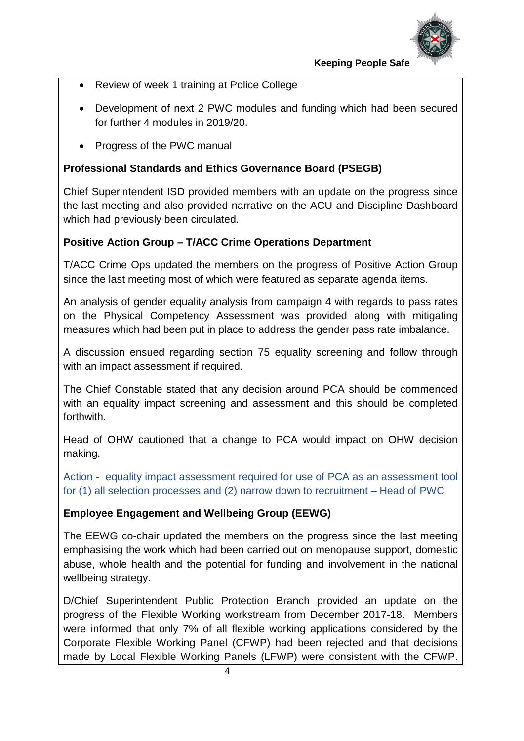

- Review of week 1 training at Police College
- Development of next 2 PWC modules and funding which had been secured for further 4 modules in 2019/20.
- Progress of the PWC manual

## **Professional Standards and Ethics Governance Board (PSEGB)**

Chief Superintendent ISD provided members with an update on the progress since the last meeting and also provided narrative on the ACU and Discipline Dashboard which had previously been circulated.

## **Positive Action Group – T/ACC Crime Operations Department**

T/ACC Crime Ops updated the members on the progress of Positive Action Group since the last meeting most of which were featured as separate agenda items.

An analysis of gender equality analysis from campaign 4 with regards to pass rates on the Physical Competency Assessment was provided along with mitigating measures which had been put in place to address the gender pass rate imbalance.

A discussion ensued regarding section 75 equality screening and follow through with an impact assessment if required.

The Chief Constable stated that any decision around PCA should be commenced with an equality impact screening and assessment and this should be completed forthwith.

Head of OHW cautioned that a change to PCA would impact on OHW decision making.

Action - equality impact assessment required for use of PCA as an assessment tool for (1) all selection processes and (2) narrow down to recruitment – Head of PWC

## **Employee Engagement and Wellbeing Group (EEWG)**

The EEWG co-chair updated the members on the progress since the last meeting emphasising the work which had been carried out on menopause support, domestic abuse, whole health and the potential for funding and involvement in the national wellbeing strategy.

D/Chief Superintendent Public Protection Branch provided an update on the progress of the Flexible Working workstream from December 2017-18. Members were informed that only 7% of all flexible working applications considered by the Corporate Flexible Working Panel (CFWP) had been rejected and that decisions made by Local Flexible Working Panels (LFWP) were consistent with the CFWP.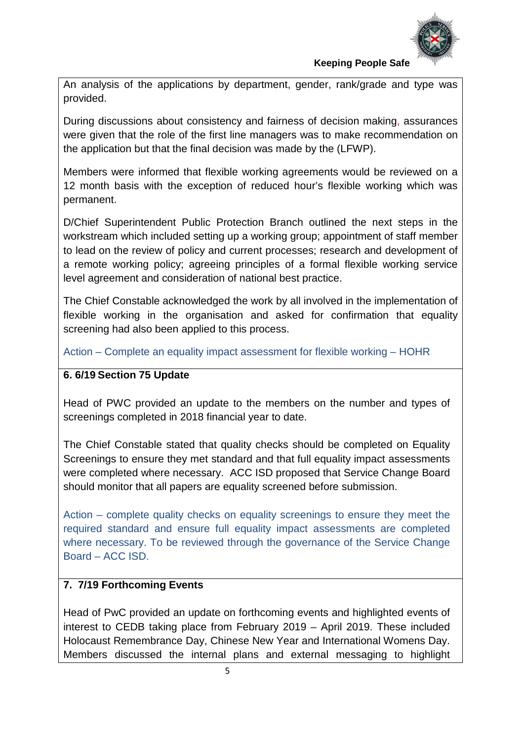

An analysis of the applications by department, gender, rank/grade and type was provided.

During discussions about consistency and fairness of decision making, assurances were given that the role of the first line managers was to make recommendation on the application but that the final decision was made by the (LFWP).

Members were informed that flexible working agreements would be reviewed on a 12 month basis with the exception of reduced hour's flexible working which was permanent.

D/Chief Superintendent Public Protection Branch outlined the next steps in the workstream which included setting up a working group; appointment of staff member to lead on the review of policy and current processes; research and development of a remote working policy; agreeing principles of a formal flexible working service level agreement and consideration of national best practice.

The Chief Constable acknowledged the work by all involved in the implementation of flexible working in the organisation and asked for confirmation that equality screening had also been applied to this process.

Action – Complete an equality impact assessment for flexible working – HOHR

#### **6. 6/19 Section 75 Update**

Head of PWC provided an update to the members on the number and types of screenings completed in 2018 financial year to date.

The Chief Constable stated that quality checks should be completed on Equality Screenings to ensure they met standard and that full equality impact assessments were completed where necessary. ACC ISD proposed that Service Change Board should monitor that all papers are equality screened before submission.

Action – complete quality checks on equality screenings to ensure they meet the required standard and ensure full equality impact assessments are completed where necessary. To be reviewed through the governance of the Service Change Board – ACC ISD.

## **7. 7/19 Forthcoming Events**

Head of PwC provided an update on forthcoming events and highlighted events of interest to CEDB taking place from February 2019 – April 2019. These included Holocaust Remembrance Day, Chinese New Year and International Womens Day. Members discussed the internal plans and external messaging to highlight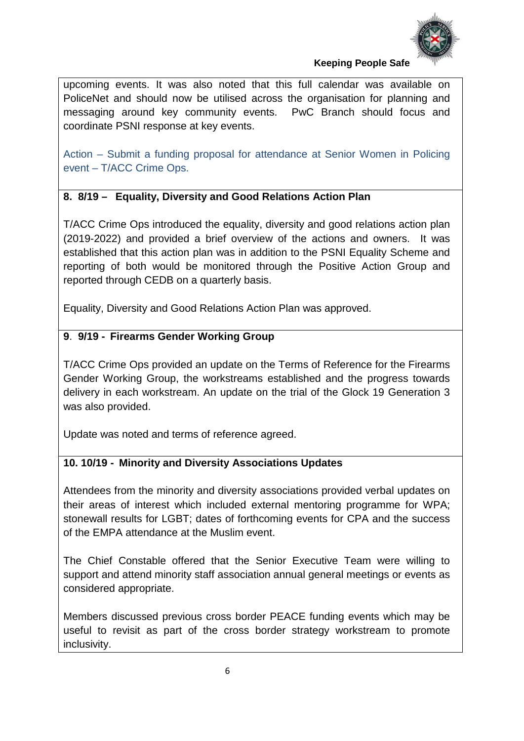

upcoming events. It was also noted that this full calendar was available on PoliceNet and should now be utilised across the organisation for planning and messaging around key community events. PwC Branch should focus and coordinate PSNI response at key events.

Action – Submit a funding proposal for attendance at Senior Women in Policing event – T/ACC Crime Ops.

## **8. 8/19 – Equality, Diversity and Good Relations Action Plan**

T/ACC Crime Ops introduced the equality, diversity and good relations action plan (2019-2022) and provided a brief overview of the actions and owners. It was established that this action plan was in addition to the PSNI Equality Scheme and reporting of both would be monitored through the Positive Action Group and reported through CEDB on a quarterly basis.

Equality, Diversity and Good Relations Action Plan was approved.

# **9**. **9/19 - Firearms Gender Working Group**

T/ACC Crime Ops provided an update on the Terms of Reference for the Firearms Gender Working Group, the workstreams established and the progress towards delivery in each workstream. An update on the trial of the Glock 19 Generation 3 was also provided.

Update was noted and terms of reference agreed.

# **10. 10/19 - Minority and Diversity Associations Updates**

Attendees from the minority and diversity associations provided verbal updates on their areas of interest which included external mentoring programme for WPA; stonewall results for LGBT; dates of forthcoming events for CPA and the success of the EMPA attendance at the Muslim event.

The Chief Constable offered that the Senior Executive Team were willing to support and attend minority staff association annual general meetings or events as considered appropriate.

Members discussed previous cross border PEACE funding events which may be useful to revisit as part of the cross border strategy workstream to promote inclusivity.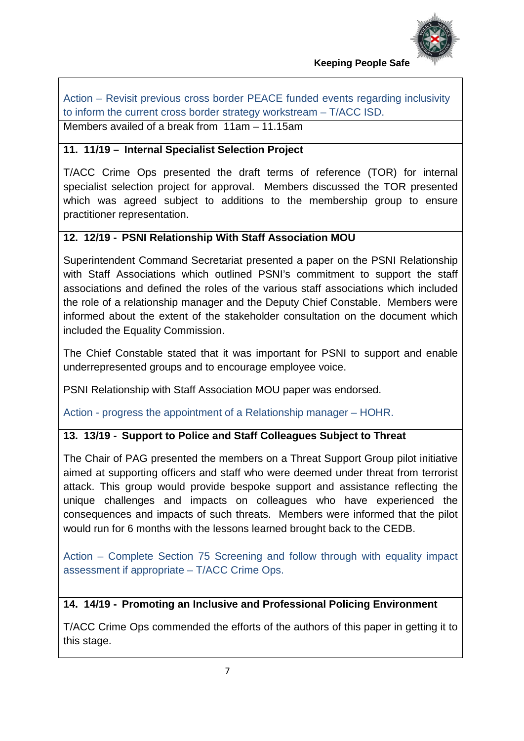

Action – Revisit previous cross border PEACE funded events regarding inclusivity to inform the current cross border strategy workstream – T/ACC ISD. Members availed of a break from 11am – 11.15am

#### **11. 11/19 – Internal Specialist Selection Project**

T/ACC Crime Ops presented the draft terms of reference (TOR) for internal specialist selection project for approval. Members discussed the TOR presented which was agreed subject to additions to the membership group to ensure practitioner representation.

## **12. 12/19 - PSNI Relationship With Staff Association MOU**

Superintendent Command Secretariat presented a paper on the PSNI Relationship with Staff Associations which outlined PSNI's commitment to support the staff associations and defined the roles of the various staff associations which included the role of a relationship manager and the Deputy Chief Constable. Members were informed about the extent of the stakeholder consultation on the document which included the Equality Commission.

The Chief Constable stated that it was important for PSNI to support and enable underrepresented groups and to encourage employee voice.

PSNI Relationship with Staff Association MOU paper was endorsed.

Action - progress the appointment of a Relationship manager – HOHR.

#### **13. 13/19 - Support to Police and Staff Colleagues Subject to Threat**

The Chair of PAG presented the members on a Threat Support Group pilot initiative aimed at supporting officers and staff who were deemed under threat from terrorist attack. This group would provide bespoke support and assistance reflecting the unique challenges and impacts on colleagues who have experienced the consequences and impacts of such threats. Members were informed that the pilot would run for 6 months with the lessons learned brought back to the CEDB.

Action – Complete Section 75 Screening and follow through with equality impact assessment if appropriate – T/ACC Crime Ops.

**14. 14/19 - Promoting an Inclusive and Professional Policing Environment**

T/ACC Crime Ops commended the efforts of the authors of this paper in getting it to this stage.